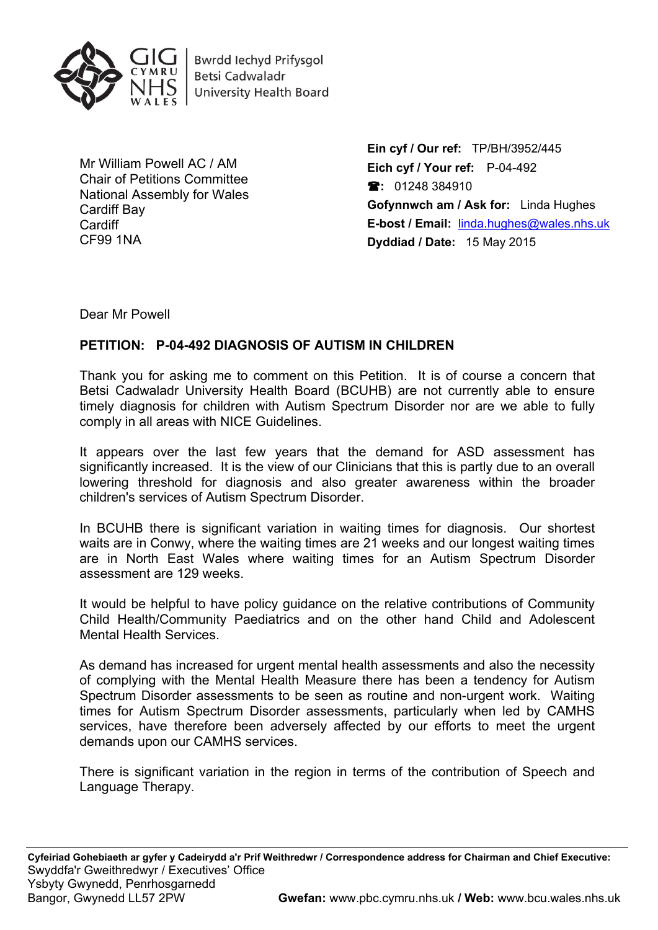

**Bwrdd lechyd Prifysgol Betsi Cadwaladr University Health Board** 

Mr William Powell AC / AM Chair of Petitions Committee National Assembly for Wales Cardiff Bay **Cardiff** CF99 1NA

**Ein cyf / Our ref:** TP/BH/3952/445 **Eich cyf / Your ref:** P-04-492 **:** 01248 384910 **Gofynnwch am / Ask for:** Linda Hughes **E-bost / Email:** [linda.hughes@wales.nhs.uk](mailto:linda.hughes@wales.nhs.uk) **Dyddiad / Date:** 15 May 2015

Dear Mr Powell

## **PETITION: P-04-492 DIAGNOSIS OF AUTISM IN CHILDREN**

Thank you for asking me to comment on this Petition. It is of course a concern that Betsi Cadwaladr University Health Board (BCUHB) are not currently able to ensure timely diagnosis for children with Autism Spectrum Disorder nor are we able to fully comply in all areas with NICE Guidelines.

It appears over the last few years that the demand for ASD assessment has significantly increased. It is the view of our Clinicians that this is partly due to an overall lowering threshold for diagnosis and also greater awareness within the broader children's services of Autism Spectrum Disorder.

In BCUHB there is significant variation in waiting times for diagnosis. Our shortest waits are in Conwy, where the waiting times are 21 weeks and our longest waiting times are in North East Wales where waiting times for an Autism Spectrum Disorder assessment are 129 weeks.

It would be helpful to have policy guidance on the relative contributions of Community Child Health/Community Paediatrics and on the other hand Child and Adolescent Mental Health Services.

As demand has increased for urgent mental health assessments and also the necessity of complying with the Mental Health Measure there has been a tendency for Autism Spectrum Disorder assessments to be seen as routine and non-urgent work. Waiting times for Autism Spectrum Disorder assessments, particularly when led by CAMHS services, have therefore been adversely affected by our efforts to meet the urgent demands upon our CAMHS services.

There is significant variation in the region in terms of the contribution of Speech and Language Therapy.